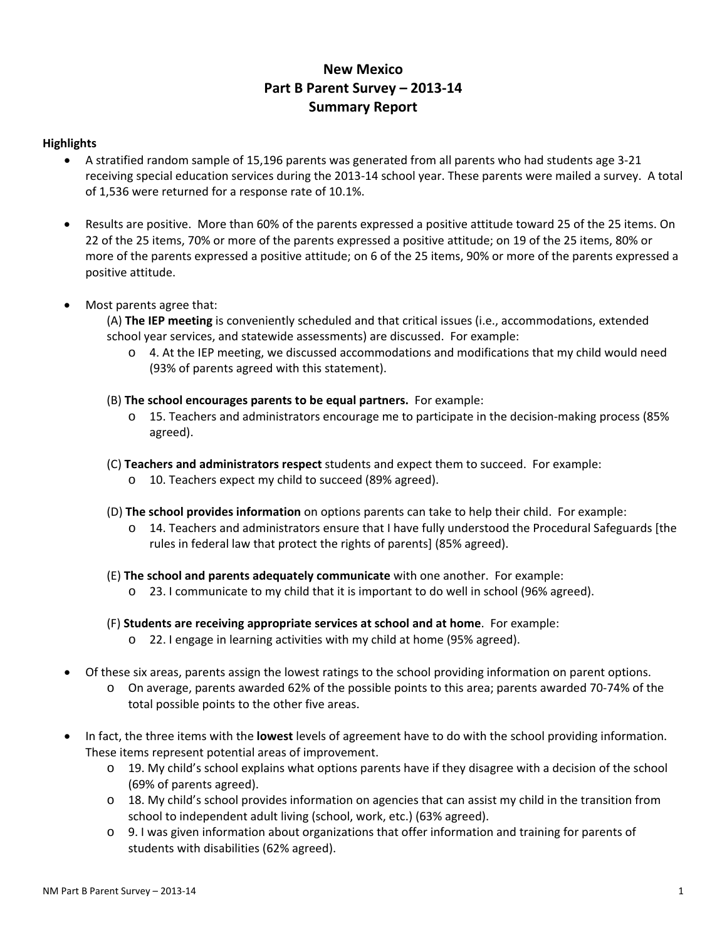# **New Mexico Part B Parent Survey – 2013-14 Summary Report**

#### **Highlights**

- A stratified random sample of 15,196 parents was generated from all parents who had students age 3-21 receiving special education services during the 2013-14 school year. These parents were mailed a survey. A total of 1,536 were returned for a response rate of 10.1%.
- Results are positive. More than 60% of the parents expressed a positive attitude toward 25 of the 25 items. On 22 of the 25 items, 70% or more of the parents expressed a positive attitude; on 19 of the 25 items, 80% or more of the parents expressed a positive attitude; on 6 of the 25 items, 90% or more of the parents expressed a positive attitude.
- Most parents agree that:

(A) **The IEP meeting** is conveniently scheduled and that critical issues (i.e., accommodations, extended school year services, and statewide assessments) are discussed. For example:

- o 4. At the IEP meeting, we discussed accommodations and modifications that my child would need (93% of parents agreed with this statement).
- (B) **The school encourages parents to be equal partners.** For example:
	- o 15. Teachers and administrators encourage me to participate in the decision-making process (85% agreed).
- (C) **Teachers and administrators respect** students and expect them to succeed. For example:
	- o 10. Teachers expect my child to succeed (89% agreed).
- (D) **The school provides information** on options parents can take to help their child. For example:
	- o 14. Teachers and administrators ensure that I have fully understood the Procedural Safeguards [the rules in federal law that protect the rights of parents] (85% agreed).
- (E) **The school and parents adequately communicate** with one another. For example:
	- o 23. I communicate to my child that it is important to do well in school (96% agreed).
- (F) **Students are receiving appropriate services at school and at home**. For example:
	- o 22. I engage in learning activities with my child at home (95% agreed).
- Of these six areas, parents assign the lowest ratings to the school providing information on parent options.
	- o On average, parents awarded 62% of the possible points to this area; parents awarded 70-74% of the total possible points to the other five areas.
- In fact, the three items with the **lowest** levels of agreement have to do with the school providing information. These items represent potential areas of improvement.
	- o 19. My child's school explains what options parents have if they disagree with a decision of the school (69% of parents agreed).
	- o 18. My child's school provides information on agencies that can assist my child in the transition from school to independent adult living (school, work, etc.) (63% agreed).
	- o 9. I was given information about organizations that offer information and training for parents of students with disabilities (62% agreed).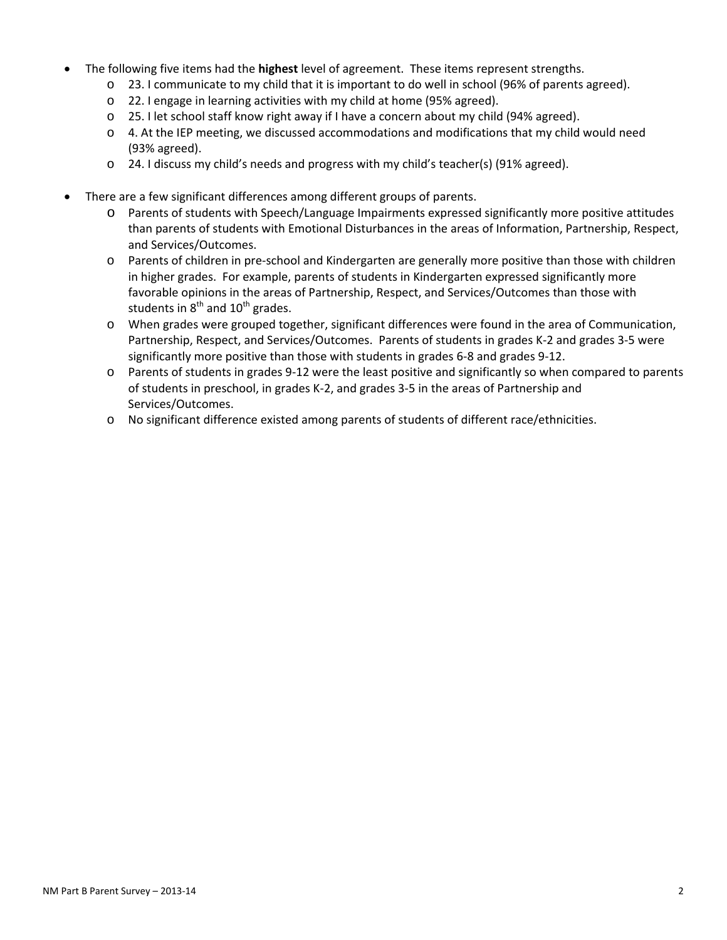- The following five items had the **highest** level of agreement. These items represent strengths.
	- o 23. I communicate to my child that it is important to do well in school (96% of parents agreed).
	- o 22. I engage in learning activities with my child at home (95% agreed).
	- o 25. I let school staff know right away if I have a concern about my child (94% agreed).
	- $\circ$  4. At the IEP meeting, we discussed accommodations and modifications that my child would need (93% agreed).
	- o 24. I discuss my child's needs and progress with my child's teacher(s) (91% agreed).
- There are a few significant differences among different groups of parents.
	- o Parents of students with Speech/Language Impairments expressed significantly more positive attitudes than parents of students with Emotional Disturbances in the areas of Information, Partnership, Respect, and Services/Outcomes.
	- o Parents of children in pre-school and Kindergarten are generally more positive than those with children in higher grades. For example, parents of students in Kindergarten expressed significantly more favorable opinions in the areas of Partnership, Respect, and Services/Outcomes than those with students in  $8<sup>th</sup>$  and  $10<sup>th</sup>$  grades.
	- o When grades were grouped together, significant differences were found in the area of Communication, Partnership, Respect, and Services/Outcomes. Parents of students in grades K-2 and grades 3-5 were significantly more positive than those with students in grades 6-8 and grades 9-12.
	- o Parents of students in grades 9-12 were the least positive and significantly so when compared to parents of students in preschool, in grades K-2, and grades 3-5 in the areas of Partnership and Services/Outcomes.
	- o No significant difference existed among parents of students of different race/ethnicities.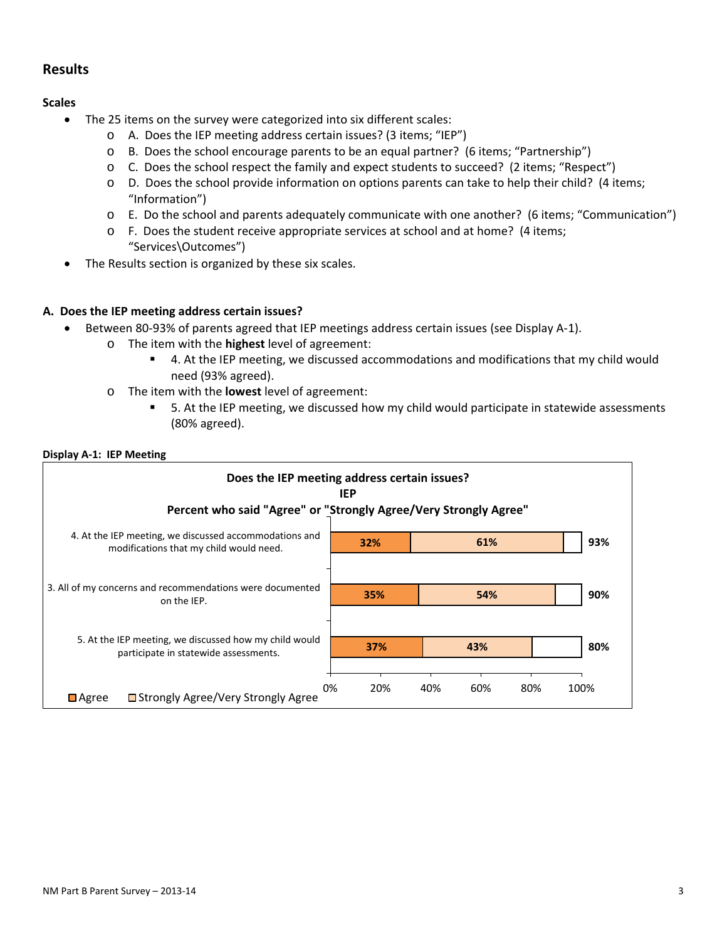## **Results**

### **Scales**

- The 25 items on the survey were categorized into six different scales:
	- o A. Does the IEP meeting address certain issues? (3 items; "IEP")
	- o B. Does the school encourage parents to be an equal partner? (6 items; "Partnership")
	- o C. Does the school respect the family and expect students to succeed? (2 items; "Respect")
	- $\circ$  D. Does the school provide information on options parents can take to help their child? (4 items; "Information")
	- o E. Do the school and parents adequately communicate with one another? (6 items; "Communication")
	- $\circ$  F. Does the student receive appropriate services at school and at home? (4 items; "Services\Outcomes")
- The Results section is organized by these six scales.

### **A. Does the IEP meeting address certain issues?**

- Between 80-93% of parents agreed that IEP meetings address certain issues (see Display A-1).
	- o The item with the **highest** level of agreement:
		- 4. At the IEP meeting, we discussed accommodations and modifications that my child would need (93% agreed).
	- o The item with the **lowest** level of agreement:
		- 5. At the IEP meeting, we discussed how my child would participate in statewide assessments (80% agreed).

#### **Display A-1: IEP Meeting**

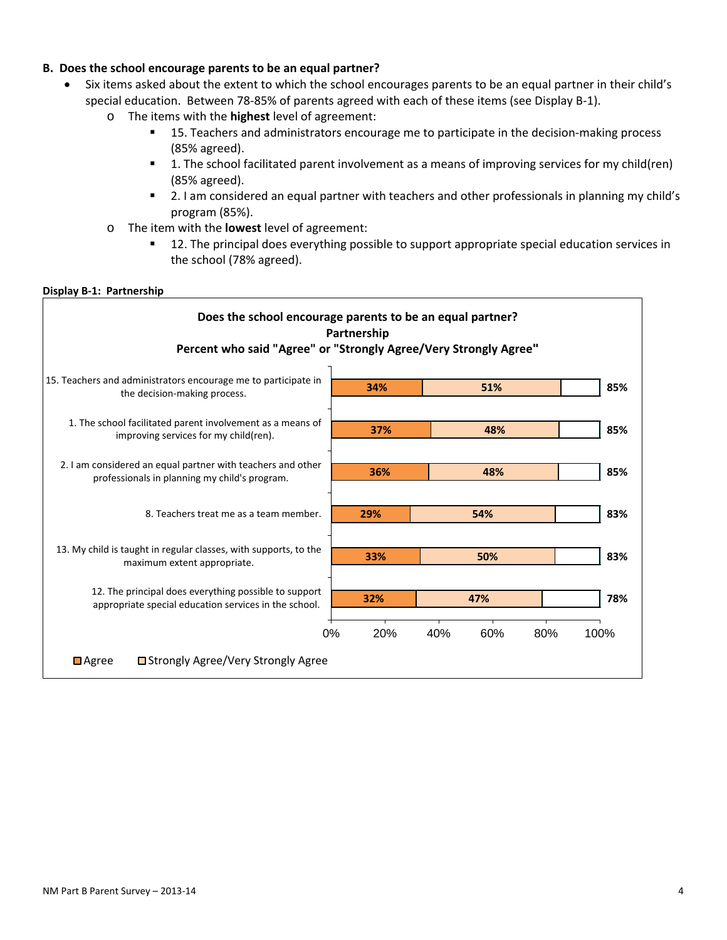#### **B. Does the school encourage parents to be an equal partner?**

- Six items asked about the extent to which the school encourages parents to be an equal partner in their child's special education. Between 78-85% of parents agreed with each of these items (see Display B-1).
	- o The items with the **highest** level of agreement:
		- **15. Teachers and administrators encourage me to participate in the decision-making process** (85% agreed).
		- 1. The school facilitated parent involvement as a means of improving services for my child(ren) (85% agreed).
		- **2.** I am considered an equal partner with teachers and other professionals in planning my child's program (85%).
	- o The item with the **lowest** level of agreement:
		- 12. The principal does everything possible to support appropriate special education services in the school (78% agreed).

#### **Display B-1: Partnership**

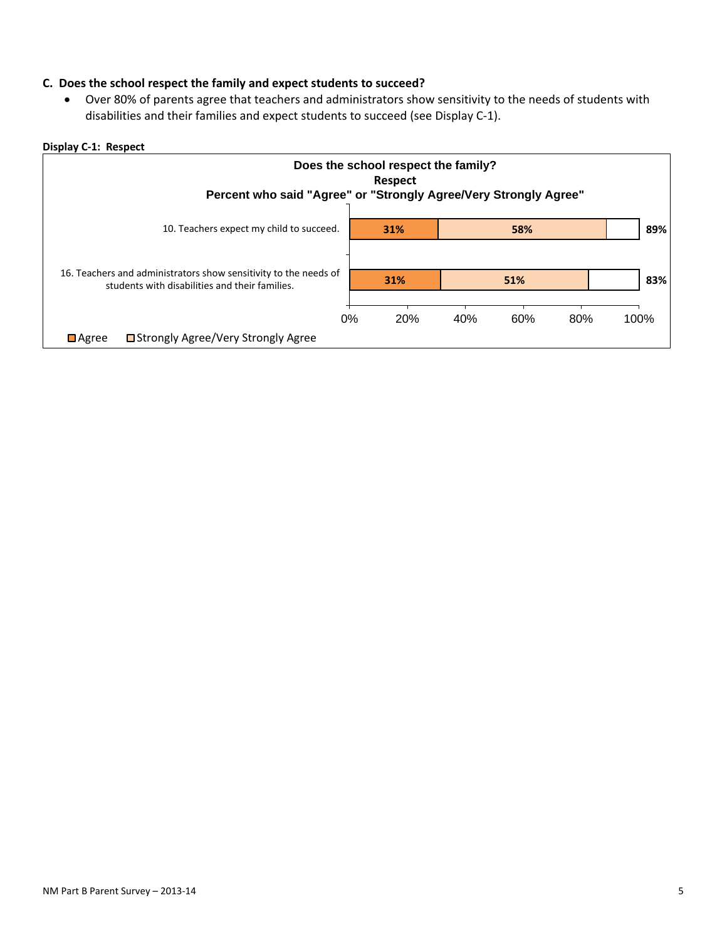#### **C. Does the school respect the family and expect students to succeed?**

• Over 80% of parents agree that teachers and administrators show sensitivity to the needs of students with disabilities and their families and expect students to succeed (see Display C-1).

#### **Display C-1: Respect**

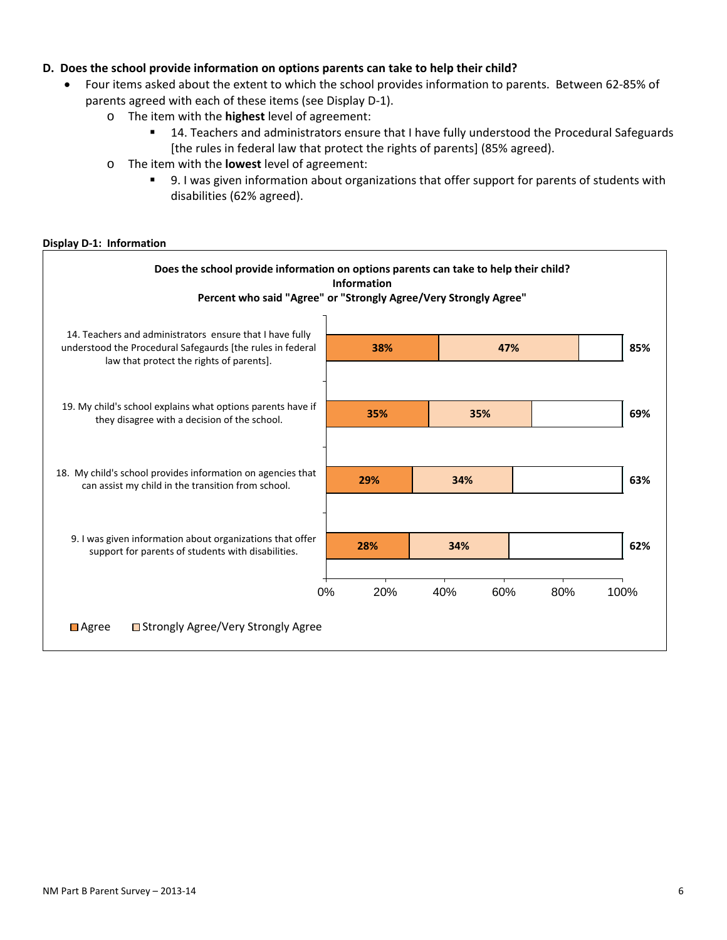#### **D. Does the school provide information on options parents can take to help their child?**

- Four items asked about the extent to which the school provides information to parents. Between 62-85% of parents agreed with each of these items (see Display D-1).
	- o The item with the **highest** level of agreement:
		- **14. Teachers and administrators ensure that I have fully understood the Procedural Safeguards** [the rules in federal law that protect the rights of parents] (85% agreed).
	- o The item with the **lowest** level of agreement:
		- 9. I was given information about organizations that offer support for parents of students with disabilities (62% agreed).

#### **Display D-1: Information**

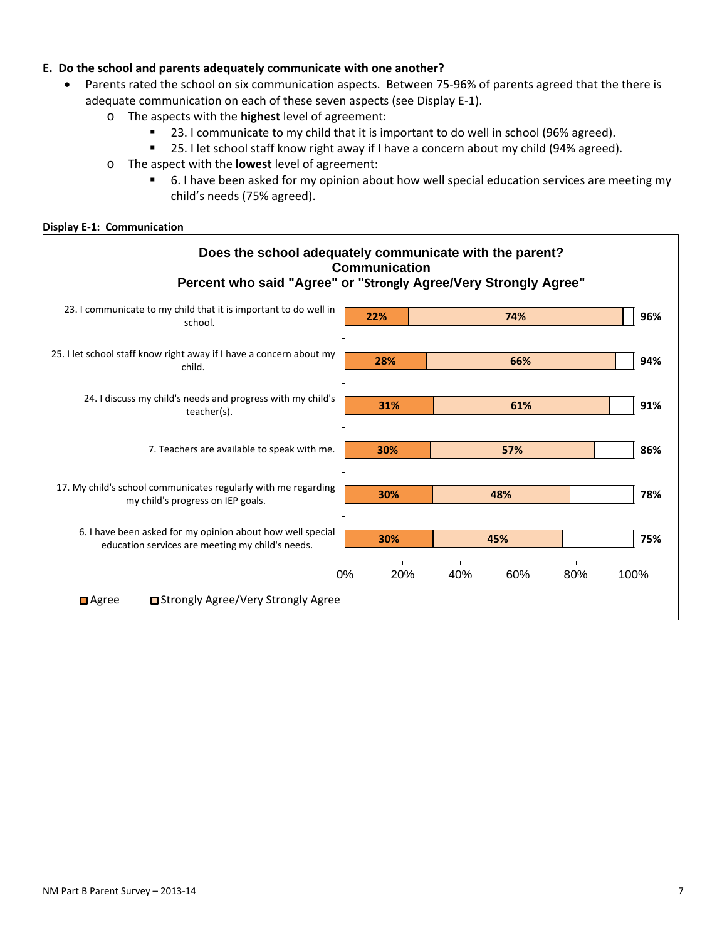### **E. Do the school and parents adequately communicate with one another?**

- Parents rated the school on six communication aspects. Between 75-96% of parents agreed that the there is adequate communication on each of these seven aspects (see Display E-1).
	- o The aspects with the **highest** level of agreement:
		- **23.** I communicate to my child that it is important to do well in school (96% agreed).
		- **25.** I let school staff know right away if I have a concern about my child (94% agreed).
	- o The aspect with the **lowest** level of agreement:
		- **6.** I have been asked for my opinion about how well special education services are meeting my child's needs (75% agreed).

#### **Display E-1: Communication**

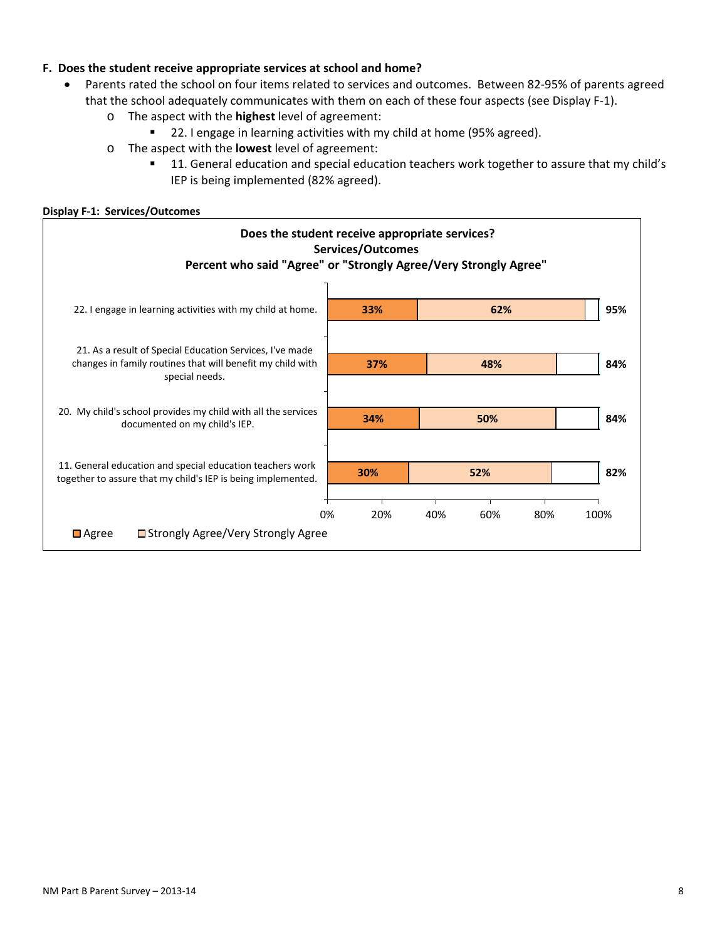### **F. Does the student receive appropriate services at school and home?**

- Parents rated the school on four items related to services and outcomes. Between 82-95% of parents agreed that the school adequately communicates with them on each of these four aspects (see Display F-1).
	- o The aspect with the **highest** level of agreement:
		- 22. I engage in learning activities with my child at home (95% agreed).
	- o The aspect with the **lowest** level of agreement:
		- **11. General education and special education teachers work together to assure that my child's** IEP is being implemented (82% agreed).

#### **Display F-1: Services/Outcomes**

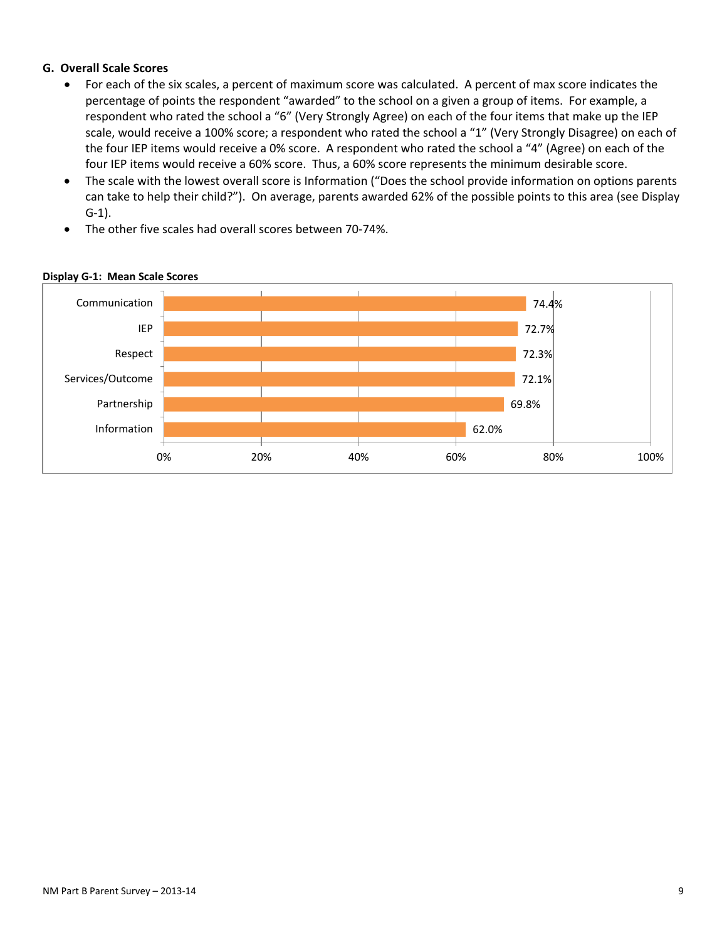### **G. Overall Scale Scores**

- For each of the six scales, a percent of maximum score was calculated. A percent of max score indicates the percentage of points the respondent "awarded" to the school on a given a group of items. For example, a respondent who rated the school a "6" (Very Strongly Agree) on each of the four items that make up the IEP scale, would receive a 100% score; a respondent who rated the school a "1" (Very Strongly Disagree) on each of the four IEP items would receive a 0% score. A respondent who rated the school a "4" (Agree) on each of the four IEP items would receive a 60% score. Thus, a 60% score represents the minimum desirable score.
- The scale with the lowest overall score is Information ("Does the school provide information on options parents can take to help their child?"). On average, parents awarded 62% of the possible points to this area (see Display G-1).
- The other five scales had overall scores between 70-74%.



#### **Display G-1: Mean Scale Scores**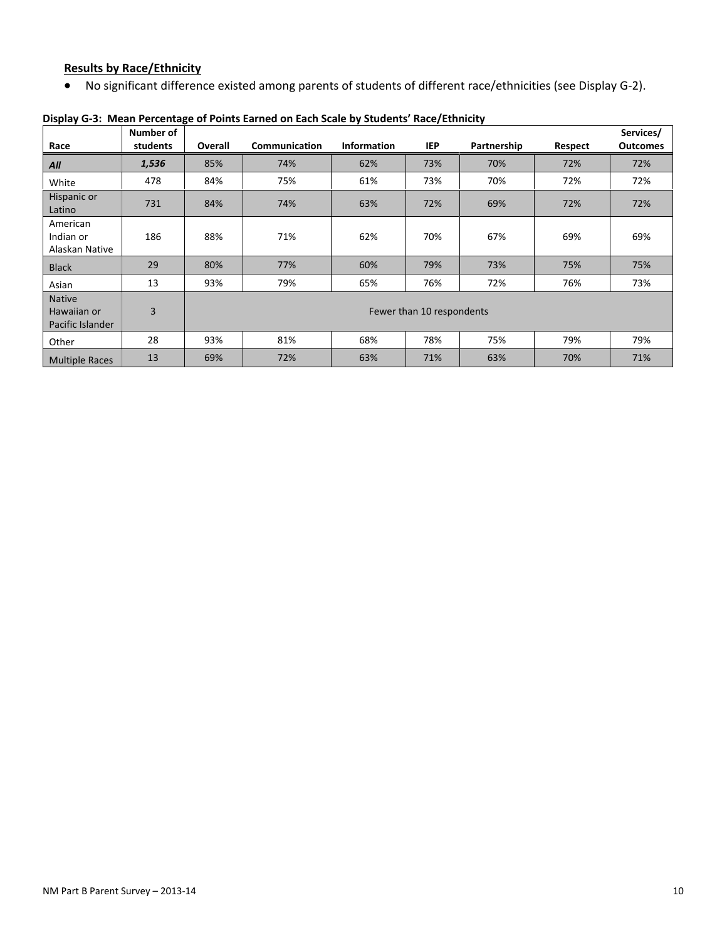## **Results by Race/Ethnicity**

• No significant difference existed among parents of students of different race/ethnicities (see Display G-2).

|                                                  | Number of      |                | Services/                 |                    |            |             |                |                 |  |  |  |  |
|--------------------------------------------------|----------------|----------------|---------------------------|--------------------|------------|-------------|----------------|-----------------|--|--|--|--|
| Race                                             | students       | <b>Overall</b> | Communication             | <b>Information</b> | <b>IEP</b> | Partnership | <b>Respect</b> | <b>Outcomes</b> |  |  |  |  |
| All                                              | 1,536          | 85%            | 74%                       | 62%                | 73%        | 70%         | 72%            | 72%             |  |  |  |  |
| White                                            | 478            | 84%            | 75%                       | 61%                | 73%        | 70%         | 72%            | 72%             |  |  |  |  |
| Hispanic or<br>Latino                            | 731            | 84%            | 74%                       | 63%                | 72%        | 69%         | 72%            | 72%             |  |  |  |  |
| American<br>Indian or<br>Alaskan Native          | 186            | 88%            | 71%                       | 62%                | 70%        | 67%         | 69%            | 69%             |  |  |  |  |
| <b>Black</b>                                     | 29             | 80%            | 77%                       | 60%                | 79%        | 73%         | 75%            | 75%             |  |  |  |  |
| Asian                                            | 13             | 93%            | 79%                       | 65%                | 76%        | 72%         | 76%            | 73%             |  |  |  |  |
| <b>Native</b><br>Hawaiian or<br>Pacific Islander | $\overline{3}$ |                | Fewer than 10 respondents |                    |            |             |                |                 |  |  |  |  |
| Other                                            | 28             | 93%            | 81%                       | 68%                | 78%        | 75%         | 79%            | 79%             |  |  |  |  |
| <b>Multiple Races</b>                            | 13             | 69%            | 72%                       | 63%                | 71%        | 63%         | 70%            | 71%             |  |  |  |  |

### **Display G-3: Mean Percentage of Points Earned on Each Scale by Students' Race/Ethnicity**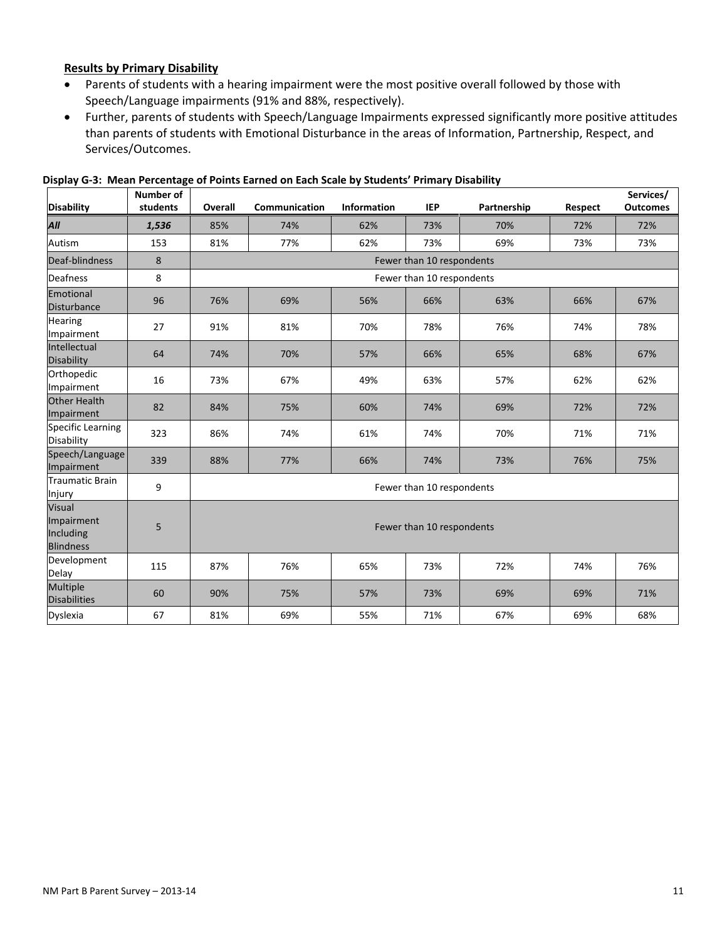#### **Results by Primary Disability**

- Parents of students with a hearing impairment were the most positive overall followed by those with Speech/Language impairments (91% and 88%, respectively).
- Further, parents of students with Speech/Language Impairments expressed significantly more positive attitudes than parents of students with Emotional Disturbance in the areas of Information, Partnership, Respect, and Services/Outcomes.

| <b>Disability</b>                                            | Number of<br>students | Overall | Communication             | Partnership               | Respect                   | Services/<br><b>Outcomes</b> |     |     |  |  |  |
|--------------------------------------------------------------|-----------------------|---------|---------------------------|---------------------------|---------------------------|------------------------------|-----|-----|--|--|--|
| All                                                          | 1,536                 | 85%     | 74%                       | <b>Information</b><br>62% | <b>IEP</b><br>73%         | 70%                          | 72% | 72% |  |  |  |
| Autism                                                       | 153                   | 81%     | 77%                       | 62%<br>73%                |                           | 69%                          | 73% | 73% |  |  |  |
| Deaf-blindness                                               | 8                     |         |                           |                           | Fewer than 10 respondents |                              |     |     |  |  |  |
| <b>Deafness</b>                                              | 8                     |         |                           |                           | Fewer than 10 respondents |                              |     |     |  |  |  |
| Emotional<br><b>Disturbance</b>                              | 96                    | 76%     | 69%                       | 56%                       | 66%                       | 63%                          |     | 67% |  |  |  |
| <b>Hearing</b><br>Impairment                                 | 27                    | 91%     | 81%                       | 70%                       | 78%                       | 76%                          | 74% | 78% |  |  |  |
| Intellectual<br>Disability                                   | 64                    | 74%     | 70%                       | 57%                       | 66%                       |                              | 68% | 67% |  |  |  |
| Orthopedic<br>Impairment                                     | 16                    | 73%     | 67%                       | 49%                       | 63%                       | 57%                          | 62% | 62% |  |  |  |
| Other Health<br>Impairment                                   | 82                    | 84%     | 75%                       | 60%<br>74%                |                           | 69%                          | 72% | 72% |  |  |  |
| Specific Learning<br>Disability                              | 323                   | 86%     | 74%                       | 61%                       | 74%                       | 70%                          | 71% | 71% |  |  |  |
| Speech/Language<br>Impairment                                | 339                   | 88%     | 77%                       | 66%<br>74%                |                           | 73%                          | 76% | 75% |  |  |  |
| Traumatic Brain<br>Injury                                    | 9                     |         |                           |                           | Fewer than 10 respondents |                              |     |     |  |  |  |
| <b>Visual</b><br>Impairment<br>Including<br><b>Blindness</b> | 5                     |         | Fewer than 10 respondents |                           |                           |                              |     |     |  |  |  |
| Development<br>Delay                                         | 115                   | 87%     | 76%                       | 65%                       | 73%                       | 72%                          | 74% | 76% |  |  |  |
| <b>Multiple</b><br><b>Disabilities</b>                       | 60                    | 90%     | 75%                       | 57%                       | 73%                       | 69%                          | 69% | 71% |  |  |  |
| Dyslexia                                                     | 67                    | 81%     | 69%                       | 55%                       | 71%                       | 67%                          | 69% | 68% |  |  |  |

**Display G-3: Mean Percentage of Points Earned on Each Scale by Students' Primary Disability**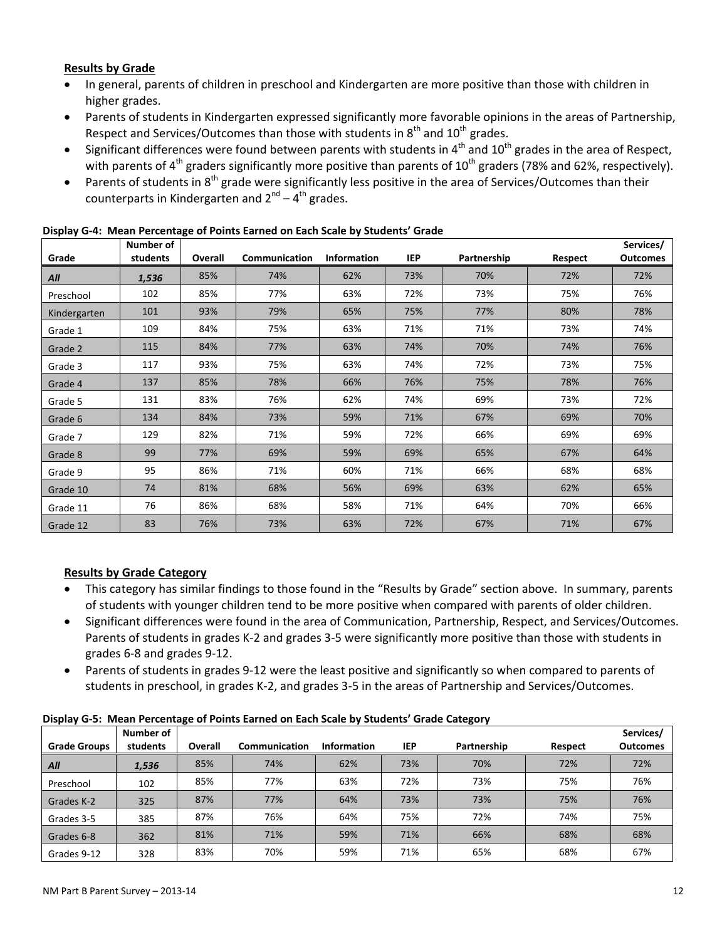### **Results by Grade**

- In general, parents of children in preschool and Kindergarten are more positive than those with children in higher grades.
- Parents of students in Kindergarten expressed significantly more favorable opinions in the areas of Partnership, Respect and Services/Outcomes than those with students in  $8<sup>th</sup>$  and  $10<sup>th</sup>$  grades.
- Significant differences were found between parents with students in  $4<sup>th</sup>$  and  $10<sup>th</sup>$  grades in the area of Respect, with parents of 4<sup>th</sup> graders significantly more positive than parents of 10<sup>th</sup> graders (78% and 62%, respectively).
- Parents of students in 8<sup>th</sup> grade were significantly less positive in the area of Services/Outcomes than their counterparts in Kindergarten and  $2^{nd} - 4^{th}$  grades.

| Grade        | Number of<br>students | Overall | Communication | <b>Information</b> | IEP | Partnership | Respect | Services/<br><b>Outcomes</b> |
|--------------|-----------------------|---------|---------------|--------------------|-----|-------------|---------|------------------------------|
| All          | 1,536                 | 85%     | 74%           | 62%                | 73% | 70%         | 72%     | 72%                          |
| Preschool    | 102                   | 85%     | 77%           | 63%                | 72% | 73%         | 75%     | 76%                          |
| Kindergarten | 101                   | 93%     | 79%           | 65%                | 75% | 77%         | 80%     | 78%                          |
| Grade 1      | 109                   | 84%     | 75%           | 63%                | 71% | 71%         | 73%     | 74%                          |
| Grade 2      | 115                   | 84%     | 77%           | 63%                | 74% | 70%         | 74%     | 76%                          |
| Grade 3      | 117                   | 93%     | 75%           | 63%                | 74% | 72%         | 73%     | 75%                          |
| Grade 4      | 137                   | 85%     | 78%           | 66%                | 76% | 75%         | 78%     | 76%                          |
| Grade 5      | 131                   | 83%     | 76%           | 62%                | 74% | 69%         | 73%     | 72%                          |
| Grade 6      | 134                   | 84%     | 73%           | 59%                | 71% | 67%         | 69%     | 70%                          |
| Grade 7      | 129                   | 82%     | 71%           | 59%                | 72% | 66%         | 69%     | 69%                          |
| Grade 8      | 99                    | 77%     | 69%           | 59%                | 69% | 65%         | 67%     | 64%                          |
| Grade 9      | 95                    | 86%     | 71%           | 60%                | 71% | 66%         | 68%     | 68%                          |
| Grade 10     | 74                    | 81%     | 68%           | 56%                | 69% | 63%         | 62%     | 65%                          |
| Grade 11     | 76                    | 86%     | 68%           | 58%                | 71% | 64%         | 70%     | 66%                          |
| Grade 12     | 83                    | 76%     | 73%           | 63%                | 72% | 67%         | 71%     | 67%                          |

#### **Display G-4: Mean Percentage of Points Earned on Each Scale by Students' Grade**

## **Results by Grade Category**

- This category has similar findings to those found in the "Results by Grade" section above. In summary, parents of students with younger children tend to be more positive when compared with parents of older children.
- Significant differences were found in the area of Communication, Partnership, Respect, and Services/Outcomes. Parents of students in grades K-2 and grades 3-5 were significantly more positive than those with students in grades 6-8 and grades 9-12.
- Parents of students in grades 9-12 were the least positive and significantly so when compared to parents of students in preschool, in grades K-2, and grades 3-5 in the areas of Partnership and Services/Outcomes.

| Display G-5: Mean Percentage of Points Earned on Each Scale by Students' Grade Category |  |  |
|-----------------------------------------------------------------------------------------|--|--|
|                                                                                         |  |  |

|                     | Number of |         |               |                    |     |             |         | Services/       |
|---------------------|-----------|---------|---------------|--------------------|-----|-------------|---------|-----------------|
| <b>Grade Groups</b> | students  | Overall | Communication | <b>Information</b> | IEP | Partnership | Respect | <b>Outcomes</b> |
| All                 | 1,536     | 85%     | 74%           | 62%                | 73% | 70%         | 72%     | 72%             |
| Preschool           | 102       | 85%     | 77%           | 63%                | 72% | 73%         | 75%     | 76%             |
| Grades K-2          | 325       | 87%     | 77%           | 64%                | 73% | 73%         | 75%     | 76%             |
| Grades 3-5          | 385       | 87%     | 76%           | 64%                | 75% | 72%         | 74%     | 75%             |
| Grades 6-8          | 362       | 81%     | 71%           | 59%                | 71% | 66%         | 68%     | 68%             |
| Grades 9-12         | 328       | 83%     | 70%           | 59%                | 71% | 65%         | 68%     | 67%             |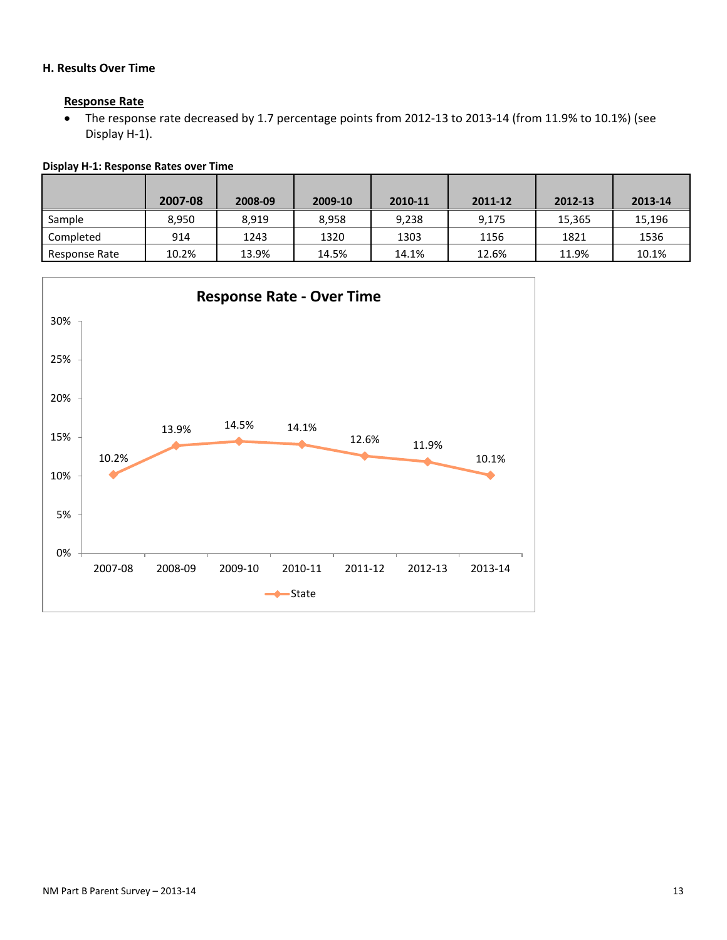## **H. Results Over Time**

#### **Response Rate**

• The response rate decreased by 1.7 percentage points from 2012-13 to 2013-14 (from 11.9% to 10.1%) (see Display H-1).

|               | 2007-08 | 2008-09 | 2009-10 | 2010-11 | 2011-12 | 2012-13 | 2013-14 |
|---------------|---------|---------|---------|---------|---------|---------|---------|
| Sample        | 8.950   | 8.919   | 8.958   | 9.238   | 9.175   | 15.365  | 15,196  |
| Completed     | 914     | 1243    | 1320    | 1303    | 1156    | 1821    | 1536    |
| Response Rate | 10.2%   | 13.9%   | 14.5%   | 14.1%   | 12.6%   | 11.9%   | 10.1%   |



# **Display H-1: Response Rates over Time**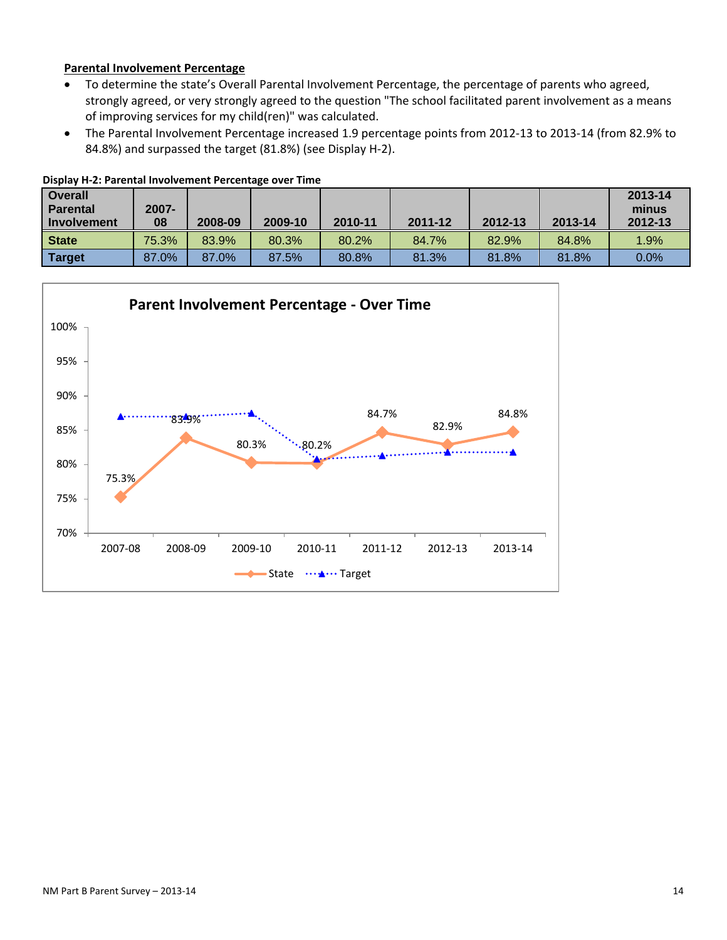### **Parental Involvement Percentage**

- To determine the state's Overall Parental Involvement Percentage, the percentage of parents who agreed, strongly agreed, or very strongly agreed to the question "The school facilitated parent involvement as a means of improving services for my child(ren)" was calculated.
- The Parental Involvement Percentage increased 1.9 percentage points from 2012-13 to 2013-14 (from 82.9% to 84.8%) and surpassed the target (81.8%) (see Display H-2).

| <b>Overall</b><br><b>Parental</b><br>Involvement | 2007-<br>08 | 2008-09 | 2009-10 | 2010-11 | 2011-12 | 2012-13 | 2013-14 | 2013-14<br>minus<br>2012-13 |
|--------------------------------------------------|-------------|---------|---------|---------|---------|---------|---------|-----------------------------|
| <b>State</b>                                     | 75.3%       | 83.9%   | 80.3%   | 80.2%   | 84.7%   | 82.9%   | 84.8%   | 1.9%                        |
| <b>Target</b>                                    | 87.0%       | 87.0%   | 87.5%   | 80.8%   | 81.3%   | 81.8%   | 81.8%   | 0.0%                        |



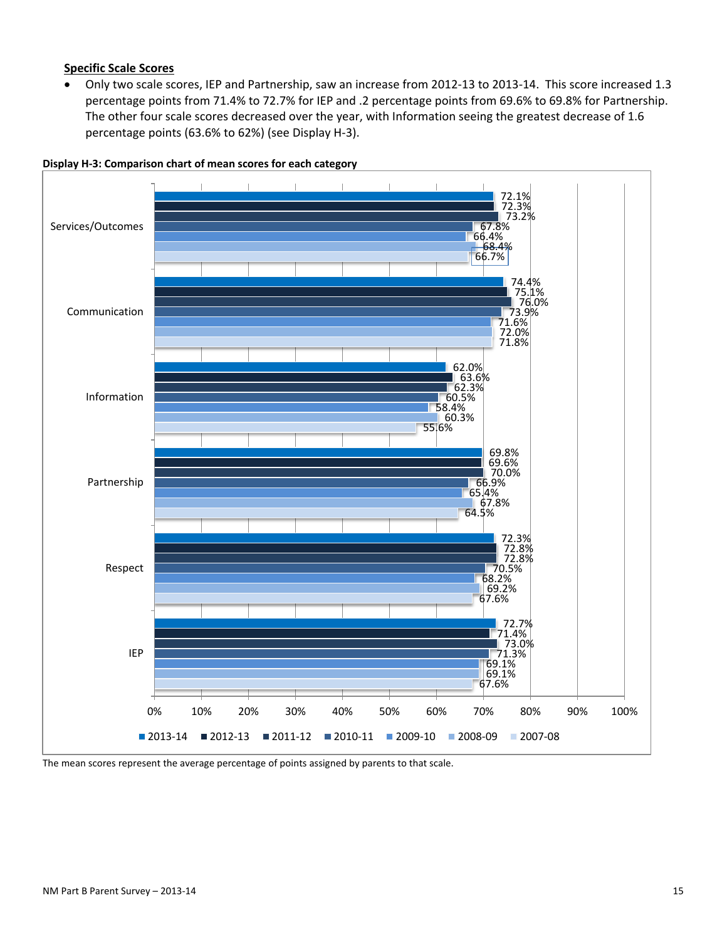#### **Specific Scale Scores**

• Only two scale scores, IEP and Partnership, saw an increase from 2012-13 to 2013-14. This score increased 1.3 percentage points from 71.4% to 72.7% for IEP and .2 percentage points from 69.6% to 69.8% for Partnership. The other four scale scores decreased over the year, with Information seeing the greatest decrease of 1.6 percentage points (63.6% to 62%) (see Display H-3).



**Display H-3: Comparison chart of mean scores for each category**

The mean scores represent the average percentage of points assigned by parents to that scale.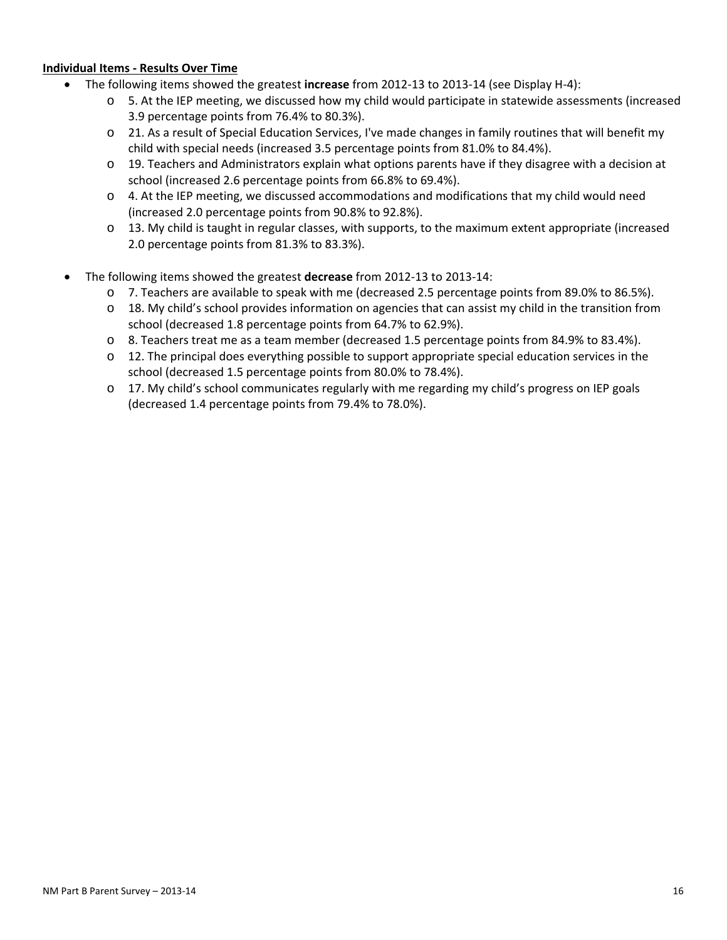#### **Individual Items - Results Over Time**

- The following items showed the greatest **increase** from 2012-13 to 2013-14 (see Display H-4):
	- o 5. At the IEP meeting, we discussed how my child would participate in statewide assessments (increased 3.9 percentage points from 76.4% to 80.3%).
	- o 21. As a result of Special Education Services, I've made changes in family routines that will benefit my child with special needs (increased 3.5 percentage points from 81.0% to 84.4%).
	- $\circ$  19. Teachers and Administrators explain what options parents have if they disagree with a decision at school (increased 2.6 percentage points from 66.8% to 69.4%).
	- $\circ$  4. At the IEP meeting, we discussed accommodations and modifications that my child would need (increased 2.0 percentage points from 90.8% to 92.8%).
	- $\circ$  13. My child is taught in regular classes, with supports, to the maximum extent appropriate (increased 2.0 percentage points from 81.3% to 83.3%).
- The following items showed the greatest **decrease** from 2012-13 to 2013-14:
	- o 7. Teachers are available to speak with me (decreased 2.5 percentage points from 89.0% to 86.5%).
	- $\circ$  18. My child's school provides information on agencies that can assist my child in the transition from school (decreased 1.8 percentage points from 64.7% to 62.9%).
	- o 8. Teachers treat me as a team member (decreased 1.5 percentage points from 84.9% to 83.4%).
	- $\circ$  12. The principal does everything possible to support appropriate special education services in the school (decreased 1.5 percentage points from 80.0% to 78.4%).
	- o 17. My child's school communicates regularly with me regarding my child's progress on IEP goals (decreased 1.4 percentage points from 79.4% to 78.0%).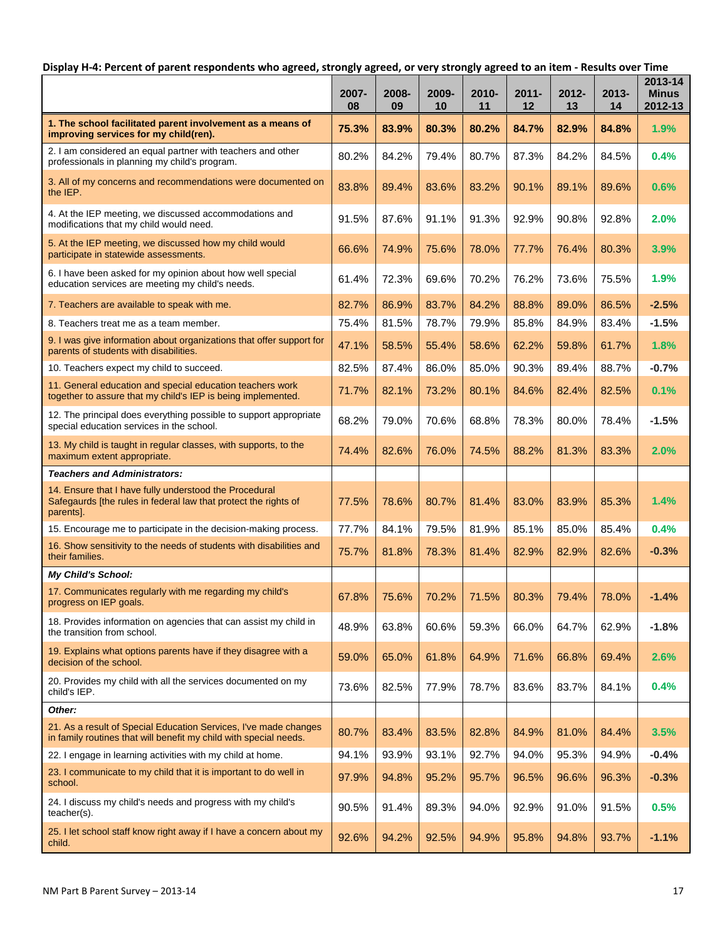## **Display H-4: Percent of parent respondents who agreed, strongly agreed, or very strongly agreed to an item - Results over Time**

|                                                                                                                                        | 2007-<br>08 | 2008-<br>09 | 2009-<br>10 | $2010 -$<br>11 | 2011-<br>12 | 2012-<br>13 | $2013 -$<br>14 | 2013-14<br><b>Minus</b><br>2012-13 |
|----------------------------------------------------------------------------------------------------------------------------------------|-------------|-------------|-------------|----------------|-------------|-------------|----------------|------------------------------------|
| 1. The school facilitated parent involvement as a means of<br>improving services for my child(ren).                                    | 75.3%       | 83.9%       | 80.3%       | 80.2%          | 84.7%       | 82.9%       | 84.8%          | 1.9%                               |
| 2. I am considered an equal partner with teachers and other<br>professionals in planning my child's program.                           | 80.2%       | 84.2%       | 79.4%       | 80.7%          | 87.3%       | 84.2%       | 84.5%          | 0.4%                               |
| 3. All of my concerns and recommendations were documented on<br>the IEP.                                                               | 83.8%       | 89.4%       | 83.6%       | 83.2%          | 90.1%       | 89.1%       | 89.6%          | 0.6%                               |
| 4. At the IEP meeting, we discussed accommodations and<br>modifications that my child would need.                                      | 91.5%       | 87.6%       | 91.1%       | 91.3%          | 92.9%       | 90.8%       | 92.8%          | 2.0%                               |
| 5. At the IEP meeting, we discussed how my child would<br>participate in statewide assessments.                                        | 66.6%       | 74.9%       | 75.6%       | 78.0%          | 77.7%       | 76.4%       | 80.3%          | 3.9%                               |
| 6. I have been asked for my opinion about how well special<br>education services are meeting my child's needs.                         | 61.4%       | 72.3%       | 69.6%       | 70.2%          | 76.2%       | 73.6%       | 75.5%          | 1.9%                               |
| 7. Teachers are available to speak with me.                                                                                            | 82.7%       | 86.9%       | 83.7%       | 84.2%          | 88.8%       | 89.0%       | 86.5%          | $-2.5%$                            |
| 8. Teachers treat me as a team member.                                                                                                 | 75.4%       | 81.5%       | 78.7%       | 79.9%          | 85.8%       | 84.9%       | 83.4%          | $-1.5%$                            |
| 9. I was give information about organizations that offer support for<br>parents of students with disabilities.                         | 47.1%       | 58.5%       | 55.4%       | 58.6%          | 62.2%       | 59.8%       | 61.7%          | 1.8%                               |
| 10. Teachers expect my child to succeed.                                                                                               | 82.5%       | 87.4%       | 86.0%       | 85.0%          | 90.3%       | 89.4%       | 88.7%          | $-0.7%$                            |
| 11. General education and special education teachers work<br>together to assure that my child's IEP is being implemented.              | 71.7%       | 82.1%       | 73.2%       | 80.1%          | 84.6%       | 82.4%       | 82.5%          | 0.1%                               |
| 12. The principal does everything possible to support appropriate<br>special education services in the school.                         | 68.2%       | 79.0%       | 70.6%       | 68.8%          | 78.3%       | 80.0%       | 78.4%          | $-1.5%$                            |
| 13. My child is taught in regular classes, with supports, to the<br>maximum extent appropriate.                                        | 74.4%       | 82.6%       | 76.0%       | 74.5%          | 88.2%       | 81.3%       | 83.3%          | 2.0%                               |
| <b>Teachers and Administrators:</b>                                                                                                    |             |             |             |                |             |             |                |                                    |
| 14. Ensure that I have fully understood the Procedural<br>Safegaurds [the rules in federal law that protect the rights of<br>parents]. | 77.5%       | 78.6%       | 80.7%       | 81.4%          | 83.0%       | 83.9%       | 85.3%          | 1.4%                               |
| 15. Encourage me to participate in the decision-making process.                                                                        | 77.7%       | 84.1%       | 79.5%       | 81.9%          | 85.1%       | 85.0%       | 85.4%          | 0.4%                               |
| 16. Show sensitivity to the needs of students with disabilities and<br>their families.                                                 | 75.7%       | 81.8%       | 78.3%       | 81.4%          | 82.9%       | 82.9%       | 82.6%          | $-0.3%$                            |
| <b>My Child's School:</b>                                                                                                              |             |             |             |                |             |             |                |                                    |
| 17. Communicates regularly with me regarding my child's<br>progress on IEP goals.                                                      | 67.8%       | 75.6%       | 70.2%       | 71.5%          | 80.3%       | 79.4%       | 78.0%          | $-1.4%$                            |
| 18. Provides information on agencies that can assist my child in<br>the transition from school.                                        | 48.9%       | 63.8%       | 60.6%       | 59.3%          | 66.0%       | 64.7%       | 62.9%          | $-1.8%$                            |
| 19. Explains what options parents have if they disagree with a<br>decision of the school.                                              | 59.0%       | 65.0%       | 61.8%       | 64.9%          | 71.6%       | 66.8%       | 69.4%          | 2.6%                               |
| 20. Provides my child with all the services documented on my<br>child's IEP.                                                           | 73.6%       | 82.5%       | 77.9%       | 78.7%          | 83.6%       | 83.7%       | 84.1%          | 0.4%                               |
| Other:                                                                                                                                 |             |             |             |                |             |             |                |                                    |
| 21. As a result of Special Education Services, I've made changes<br>in family routines that will benefit my child with special needs.  | 80.7%       | 83.4%       | 83.5%       | 82.8%          | 84.9%       | 81.0%       | 84.4%          | 3.5%                               |
| 22. I engage in learning activities with my child at home.                                                                             | 94.1%       | 93.9%       | 93.1%       | 92.7%          | 94.0%       | 95.3%       | 94.9%          | $-0.4%$                            |
| 23. I communicate to my child that it is important to do well in<br>school.                                                            | 97.9%       | 94.8%       | 95.2%       | 95.7%          | 96.5%       | 96.6%       | 96.3%          | $-0.3%$                            |
| 24. I discuss my child's needs and progress with my child's<br>teacher(s).                                                             | 90.5%       | 91.4%       | 89.3%       | 94.0%          | 92.9%       | 91.0%       | 91.5%          | 0.5%                               |
| 25. Het school staff know right away if I have a concern about my<br>child.                                                            | 92.6%       | 94.2%       | 92.5%       | 94.9%          | 95.8%       | 94.8%       | 93.7%          | $-1.1%$                            |